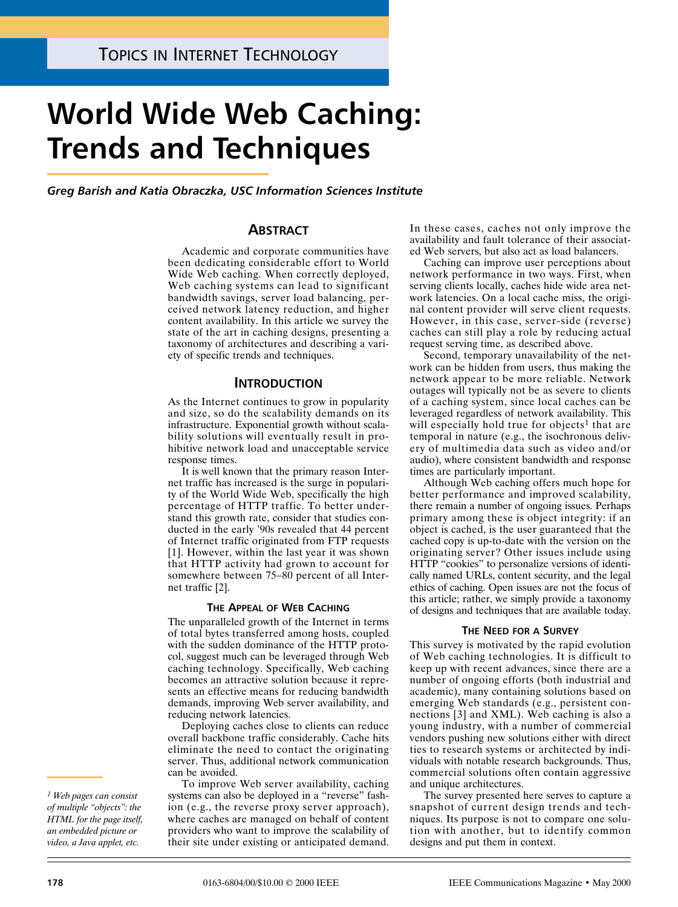# **World Wide Web Caching: Trends and Techniques**

*Greg Barish and Katia Obraczka, USC Information Sciences Institute*

## **ABSTRACT**

Academic and corporate communities have been dedicating considerable effort to World Wide Web caching. When correctly deployed, Web caching systems can lead to significant bandwidth savings, server load balancing, perceived network latency reduction, and higher content availability. In this article we survey the state of the art in caching designs, presenting a taxonomy of architectures and describing a variety of specific trends and techniques.

## **INTRODUCTION**

As the Internet continues to grow in popularity and size, so do the scalability demands on its infrastructure. Exponential growth without scalability solutions will eventually result in prohibitive network load and unacceptable service response times.

It is well known that the primary reason Internet traffic has increased is the surge in popularity of the World Wide Web, specifically the high percentage of HTTP traffic. To better understand this growth rate, consider that studies conducted in the early '90s revealed that 44 percent of Internet traffic originated from FTP requests [1]. However, within the last year it was shown that HTTP activity had grown to account for somewhere between 75–80 percent of all Internet traffic [2].

## **THE APPEAL OF WEB CACHING**

The unparalleled growth of the Internet in terms of total bytes transferred among hosts, coupled with the sudden dominance of the HTTP protocol, suggest much can be leveraged through Web caching technology. Specifically, Web caching becomes an attractive solution because it represents an effective means for reducing bandwidth demands, improving Web server availability, and reducing network latencies.

Deploying caches close to clients can reduce overall backbone traffic considerably. Cache hits eliminate the need to contact the originating server. Thus, additional network communication can be avoided.

To improve Web server availability, caching systems can also be deployed in a "reverse" fashion (e.g., the reverse proxy server approach), where caches are managed on behalf of content providers who want to improve the scalability of their site under existing or anticipated demand. In these cases, caches not only improve the availability and fault tolerance of their associated Web servers, but also act as load balancers.

Caching can improve user perceptions about network performance in two ways. First, when serving clients locally, caches hide wide area network latencies. On a local cache miss, the original content provider will serve client requests. However, in this case, server-side (reverse) caches can still play a role by reducing actual request serving time, as described above.

Second, temporary unavailability of the network can be hidden from users, thus making the network appear to be more reliable. Network outages will typically not be as severe to clients of a caching system, since local caches can be leveraged regardless of network availability. This will especially hold true for objects<sup>1</sup> that are temporal in nature (e.g., the isochronous delivery of multimedia data such as video and/or audio), where consistent bandwidth and response times are particularly important.

Although Web caching offers much hope for better performance and improved scalability, there remain a number of ongoing issues. Perhaps primary among these is object integrity: if an object is cached, is the user guaranteed that the cached copy is up-to-date with the version on the originating server? Other issues include using HTTP "cookies" to personalize versions of identically named URLs, content security, and the legal ethics of caching. Open issues are not the focus of this article; rather, we simply provide a taxonomy of designs and techniques that are available today.

#### **THE NEED FOR A SURVEY**

This survey is motivated by the rapid evolution of Web caching technologies. It is difficult to keep up with recent advances, since there are a number of ongoing efforts (both industrial and academic), many containing solutions based on emerging Web standards (e.g., persistent connections [3] and XML). Web caching is also a young industry, with a number of commercial vendors pushing new solutions either with direct ties to research systems or architected by individuals with notable research backgrounds. Thus, commercial solutions often contain aggressive and unique architectures.

The survey presented here serves to capture a snapshot of current design trends and techniques. Its purpose is not to compare one solution with another, but to identify common designs and put them in context.

*<sup>1</sup> Web pages can consist of multiple "objects": the HTML for the page itself, an embedded picture or video, a Java applet, etc.*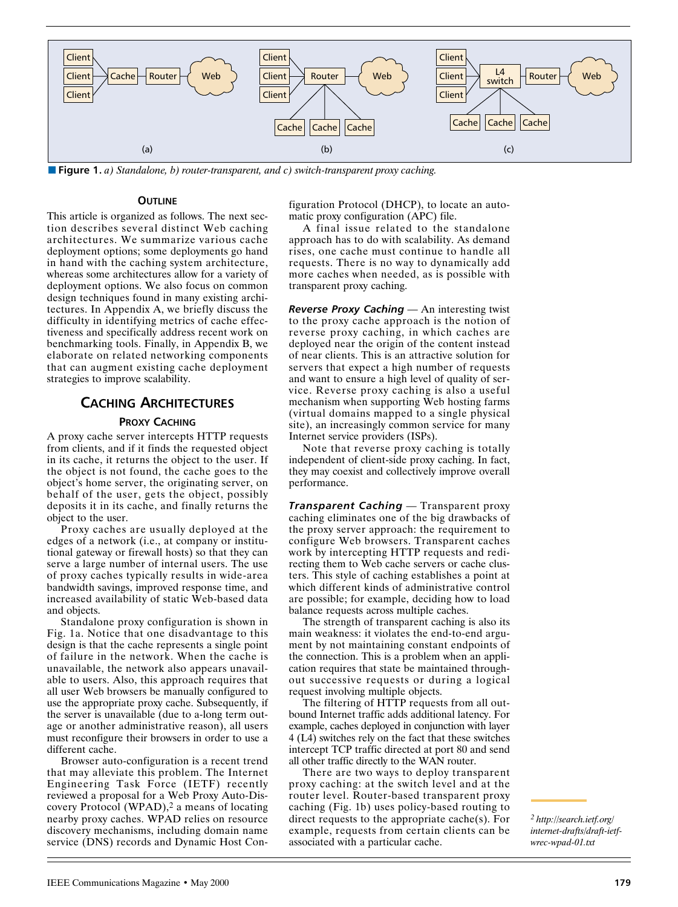

■ **Figure 1.** *a*) *Standalone, b) router-transparent, and c) switch-transparent proxy caching.* 

#### **OUTLINE**

This article is organized as follows. The next section describes several distinct Web caching architectures. We summarize various cache deployment options; some deployments go hand in hand with the caching system architecture, whereas some architectures allow for a variety of deployment options. We also focus on common design techniques found in many existing architectures. In Appendix A, we briefly discuss the difficulty in identifying metrics of cache effectiveness and specifically address recent work on benchmarking tools. Finally, in Appendix B, we elaborate on related networking components that can augment existing cache deployment strategies to improve scalability.

## **CACHING ARCHITECTURES**

#### **PROXY CACHING**

A proxy cache server intercepts HTTP requests from clients, and if it finds the requested object in its cache, it returns the object to the user. If the object is not found, the cache goes to the object's home server, the originating server, on behalf of the user, gets the object, possibly deposits it in its cache, and finally returns the object to the user.

Proxy caches are usually deployed at the edges of a network (i.e., at company or institutional gateway or firewall hosts) so that they can serve a large number of internal users. The use of proxy caches typically results in wide-area bandwidth savings, improved response time, and increased availability of static Web-based data and objects.

Standalone proxy configuration is shown in Fig. 1a. Notice that one disadvantage to this design is that the cache represents a single point of failure in the network. When the cache is unavailable, the network also appears unavailable to users. Also, this approach requires that all user Web browsers be manually configured to use the appropriate proxy cache. Subsequently, if the server is unavailable (due to a-long term outage or another administrative reason), all users must reconfigure their browsers in order to use a different cache.

Browser auto-configuration is a recent trend that may alleviate this problem. The Internet Engineering Task Force (IETF) recently reviewed a proposal for a Web Proxy Auto-Discovery Protocol (WPAD),<sup>2</sup> a means of locating nearby proxy caches. WPAD relies on resource discovery mechanisms, including domain name service (DNS) records and Dynamic Host Configuration Protocol (DHCP), to locate an automatic proxy configuration (APC) file.

A final issue related to the standalone approach has to do with scalability. As demand rises, one cache must continue to handle all requests. There is no way to dynamically add more caches when needed, as is possible with transparent proxy caching.

*Reverse Proxy Caching* — An interesting twist to the proxy cache approach is the notion of reverse proxy caching, in which caches are deployed near the origin of the content instead of near clients. This is an attractive solution for servers that expect a high number of requests and want to ensure a high level of quality of service. Reverse proxy caching is also a useful mechanism when supporting Web hosting farms (virtual domains mapped to a single physical site), an increasingly common service for many Internet service providers (ISPs).

Note that reverse proxy caching is totally independent of client-side proxy caching. In fact, they may coexist and collectively improve overall performance.

*Transparent Caching* — Transparent proxy caching eliminates one of the big drawbacks of the proxy server approach: the requirement to configure Web browsers. Transparent caches work by intercepting HTTP requests and redirecting them to Web cache servers or cache clusters. This style of caching establishes a point at which different kinds of administrative control are possible; for example, deciding how to load balance requests across multiple caches.

The strength of transparent caching is also its main weakness: it violates the end-to-end argument by not maintaining constant endpoints of the connection. This is a problem when an application requires that state be maintained throughout successive requests or during a logical request involving multiple objects.

The filtering of HTTP requests from all outbound Internet traffic adds additional latency. For example, caches deployed in conjunction with layer 4 (L4) switches rely on the fact that these switches intercept TCP traffic directed at port 80 and send all other traffic directly to the WAN router.

There are two ways to deploy transparent proxy caching: at the switch level and at the router level. Router-based transparent proxy caching (Fig. 1b) uses policy-based routing to direct requests to the appropriate cache(s). For example, requests from certain clients can be associated with a particular cache.

*<sup>2</sup> http://search.ietf.org/ internet-drafts/draft-ietfwrec-wpad-01.txt*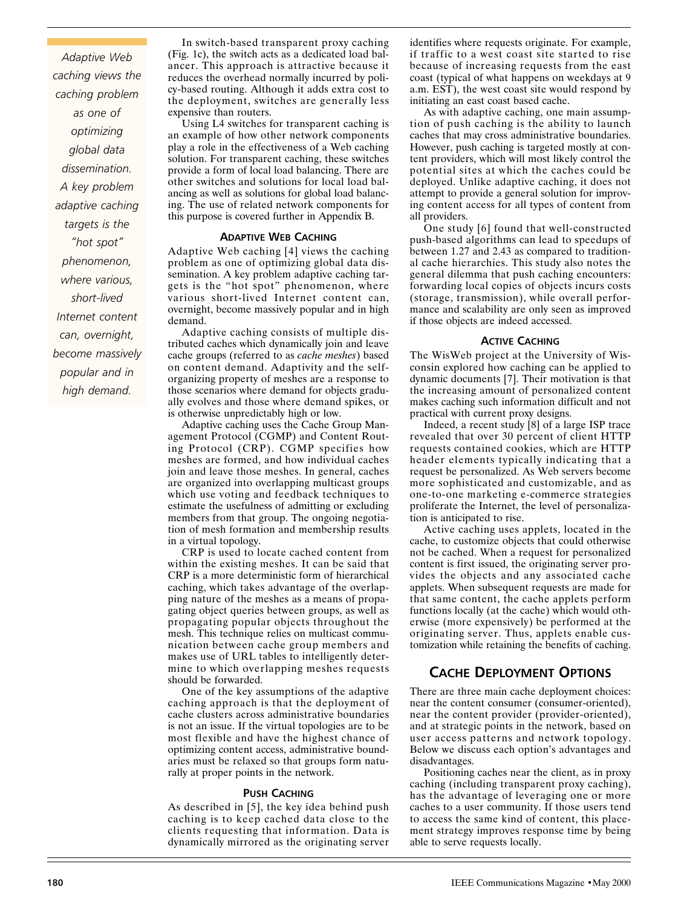*Adaptive Web caching views the caching problem as one of optimizing global data dissemination. A key problem adaptive caching targets is the "hot spot" phenomenon, where various, short-lived Internet content can, overnight, become massively popular and in high demand.*

In switch-based transparent proxy caching (Fig. 1c), the switch acts as a dedicated load balancer. This approach is attractive because it reduces the overhead normally incurred by policy-based routing. Although it adds extra cost to the deployment, switches are generally less expensive than routers.

Using L4 switches for transparent caching is an example of how other network components play a role in the effectiveness of a Web caching solution. For transparent caching, these switches provide a form of local load balancing. There are other switches and solutions for local load balancing as well as solutions for global load balancing. The use of related network components for this purpose is covered further in Appendix B.

### **ADAPTIVE WEB CACHING**

Adaptive Web caching [4] views the caching problem as one of optimizing global data dissemination. A key problem adaptive caching targets is the "hot spot" phenomenon, where various short-lived Internet content can, overnight, become massively popular and in high demand.

Adaptive caching consists of multiple distributed caches which dynamically join and leave cache groups (referred to as *cache meshes*) based on content demand. Adaptivity and the selforganizing property of meshes are a response to those scenarios where demand for objects gradually evolves and those where demand spikes, or is otherwise unpredictably high or low.

Adaptive caching uses the Cache Group Management Protocol (CGMP) and Content Routing Protocol (CRP). CGMP specifies how meshes are formed, and how individual caches join and leave those meshes. In general, caches are organized into overlapping multicast groups which use voting and feedback techniques to estimate the usefulness of admitting or excluding members from that group. The ongoing negotiation of mesh formation and membership results in a virtual topology.

CRP is used to locate cached content from within the existing meshes. It can be said that CRP is a more deterministic form of hierarchical caching, which takes advantage of the overlapping nature of the meshes as a means of propagating object queries between groups, as well as propagating popular objects throughout the mesh. This technique relies on multicast communication between cache group members and makes use of URL tables to intelligently determine to which overlapping meshes requests should be forwarded.

One of the key assumptions of the adaptive caching approach is that the deployment of cache clusters across administrative boundaries is not an issue. If the virtual topologies are to be most flexible and have the highest chance of optimizing content access, administrative boundaries must be relaxed so that groups form naturally at proper points in the network.

#### **PUSH CACHING**

As described in [5], the key idea behind push caching is to keep cached data close to the clients requesting that information. Data is dynamically mirrored as the originating server identifies where requests originate. For example, if traffic to a west coast site started to rise because of increasing requests from the east coast (typical of what happens on weekdays at 9 a.m. EST), the west coast site would respond by initiating an east coast based cache.

As with adaptive caching, one main assumption of push caching is the ability to launch caches that may cross administrative boundaries. However, push caching is targeted mostly at content providers, which will most likely control the potential sites at which the caches could be deployed. Unlike adaptive caching, it does not attempt to provide a general solution for improving content access for all types of content from all providers.

One study [6] found that well-constructed push-based algorithms can lead to speedups of between 1.27 and 2.43 as compared to traditional cache hierarchies. This study also notes the general dilemma that push caching encounters: forwarding local copies of objects incurs costs (storage, transmission), while overall performance and scalability are only seen as improved if those objects are indeed accessed.

#### **ACTIVE CACHING**

The WisWeb project at the University of Wisconsin explored how caching can be applied to dynamic documents [7]. Their motivation is that the increasing amount of personalized content makes caching such information difficult and not practical with current proxy designs.

Indeed, a recent study [8] of a large ISP trace revealed that over 30 percent of client HTTP requests contained cookies, which are HTTP header elements typically indicating that a request be personalized. As Web servers become more sophisticated and customizable, and as one-to-one marketing e-commerce strategies proliferate the Internet, the level of personalization is anticipated to rise.

Active caching uses applets, located in the cache, to customize objects that could otherwise not be cached. When a request for personalized content is first issued, the originating server provides the objects and any associated cache applets. When subsequent requests are made for that same content, the cache applets perform functions locally (at the cache) which would otherwise (more expensively) be performed at the originating server. Thus, applets enable customization while retaining the benefits of caching.

# **CACHE DEPLOYMENT OPTIONS**

There are three main cache deployment choices: near the content consumer (consumer-oriented), near the content provider (provider-oriented), and at strategic points in the network, based on user access patterns and network topology. Below we discuss each option's advantages and disadvantages.

Positioning caches near the client, as in proxy caching (including transparent proxy caching), has the advantage of leveraging one or more caches to a user community. If those users tend to access the same kind of content, this placement strategy improves response time by being able to serve requests locally.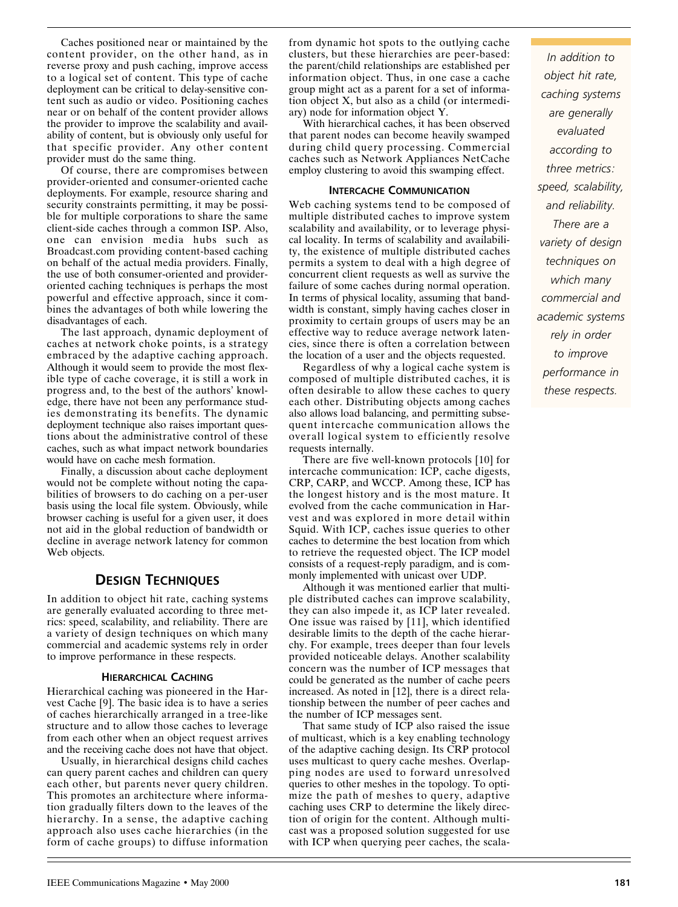Caches positioned near or maintained by the content provider, on the other hand, as in reverse proxy and push caching, improve access to a logical set of content. This type of cache deployment can be critical to delay-sensitive content such as audio or video. Positioning caches near or on behalf of the content provider allows the provider to improve the scalability and availability of content, but is obviously only useful for that specific provider. Any other content provider must do the same thing.

Of course, there are compromises between provider-oriented and consumer-oriented cache deployments. For example, resource sharing and security constraints permitting, it may be possible for multiple corporations to share the same client-side caches through a common ISP. Also, one can envision media hubs such as Broadcast.com providing content-based caching on behalf of the actual media providers. Finally, the use of both consumer-oriented and provideroriented caching techniques is perhaps the most powerful and effective approach, since it combines the advantages of both while lowering the disadvantages of each.

The last approach, dynamic deployment of caches at network choke points, is a strategy embraced by the adaptive caching approach. Although it would seem to provide the most flexible type of cache coverage, it is still a work in progress and, to the best of the authors' knowledge, there have not been any performance studies demonstrating its benefits. The dynamic deployment technique also raises important questions about the administrative control of these caches, such as what impact network boundaries would have on cache mesh formation.

Finally, a discussion about cache deployment would not be complete without noting the capabilities of browsers to do caching on a per-user basis using the local file system. Obviously, while browser caching is useful for a given user, it does not aid in the global reduction of bandwidth or decline in average network latency for common Web objects.

# **DESIGN TECHNIQUES**

In addition to object hit rate, caching systems are generally evaluated according to three metrics: speed, scalability, and reliability. There are a variety of design techniques on which many commercial and academic systems rely in order to improve performance in these respects.

#### **HIERARCHICAL CACHING**

Hierarchical caching was pioneered in the Harvest Cache [9]. The basic idea is to have a series of caches hierarchically arranged in a tree-like structure and to allow those caches to leverage from each other when an object request arrives and the receiving cache does not have that object.

Usually, in hierarchical designs child caches can query parent caches and children can query each other, but parents never query children. This promotes an architecture where information gradually filters down to the leaves of the hierarchy. In a sense, the adaptive caching approach also uses cache hierarchies (in the form of cache groups) to diffuse information

from dynamic hot spots to the outlying cache clusters, but these hierarchies are peer-based: the parent/child relationships are established per information object. Thus, in one case a cache group might act as a parent for a set of information object X, but also as a child (or intermediary) node for information object Y.

With hierarchical caches, it has been observed that parent nodes can become heavily swamped during child query processing. Commercial caches such as Network Appliances NetCache employ clustering to avoid this swamping effect.

#### **INTERCACHE COMMUNICATION**

Web caching systems tend to be composed of multiple distributed caches to improve system scalability and availability, or to leverage physical locality. In terms of scalability and availability, the existence of multiple distributed caches permits a system to deal with a high degree of concurrent client requests as well as survive the failure of some caches during normal operation. In terms of physical locality, assuming that bandwidth is constant, simply having caches closer in proximity to certain groups of users may be an effective way to reduce average network latencies, since there is often a correlation between the location of a user and the objects requested.

Regardless of why a logical cache system is composed of multiple distributed caches, it is often desirable to allow these caches to query each other. Distributing objects among caches also allows load balancing, and permitting subsequent intercache communication allows the overall logical system to efficiently resolve requests internally.

There are five well-known protocols [10] for intercache communication: ICP, cache digests, CRP, CARP, and WCCP. Among these, ICP has the longest history and is the most mature. It evolved from the cache communication in Harvest and was explored in more detail within Squid. With ICP, caches issue queries to other caches to determine the best location from which to retrieve the requested object. The ICP model consists of a request-reply paradigm, and is commonly implemented with unicast over UDP.

Although it was mentioned earlier that multiple distributed caches can improve scalability, they can also impede it, as ICP later revealed. One issue was raised by [11], which identified desirable limits to the depth of the cache hierarchy. For example, trees deeper than four levels provided noticeable delays. Another scalability concern was the number of ICP messages that could be generated as the number of cache peers increased. As noted in [12], there is a direct relationship between the number of peer caches and the number of ICP messages sent.

That same study of ICP also raised the issue of multicast, which is a key enabling technology of the adaptive caching design. Its CRP protocol uses multicast to query cache meshes. Overlapping nodes are used to forward unresolved queries to other meshes in the topology. To optimize the path of meshes to query, adaptive caching uses CRP to determine the likely direction of origin for the content. Although multicast was a proposed solution suggested for use with ICP when querying peer caches, the scala-

*In addition to object hit rate, caching systems are generally evaluated according to three metrics: speed, scalability, and reliability. There are a variety of design techniques on which many commercial and academic systems rely in order to improve performance in these respects.*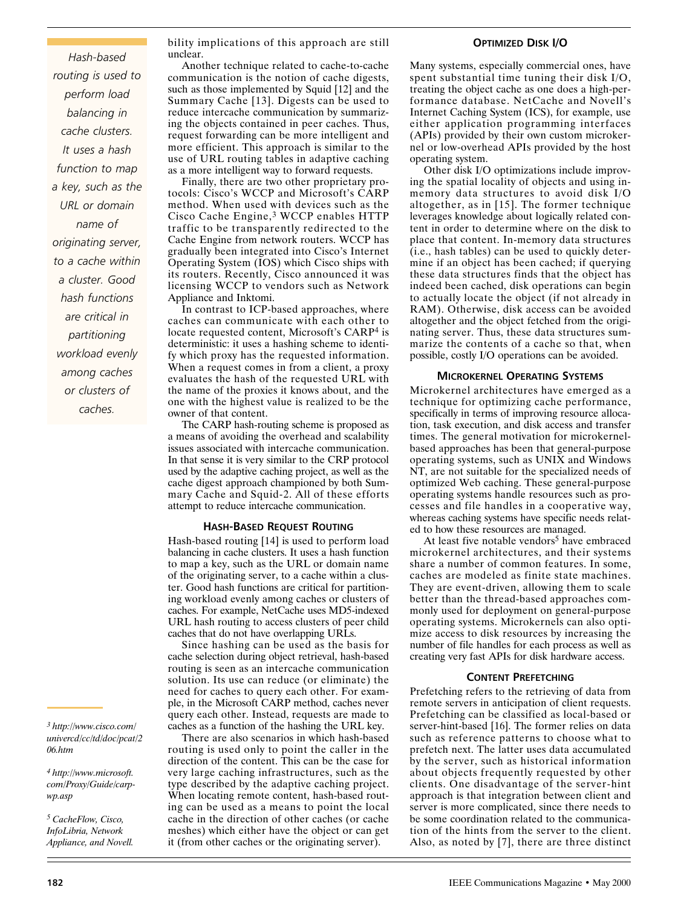*Hash-based routing is used to perform load balancing in cache clusters. It uses a hash function to map a key, such as the URL or domain name of originating server, to a cache within a cluster. Good hash functions are critical in partitioning workload evenly among caches or clusters of caches.*

*<sup>3</sup> http://www.cisco.com/ univercd/cc/td/doc/pcat/2 06.htm*

*<sup>4</sup> http://www.microsoft. com/Proxy/Guide/carpwp.asp*

*<sup>5</sup> CacheFlow, Cisco, InfoLibria, Network Appliance, and Novell.* bility implications of this approach are still unclear.

Another technique related to cache-to-cache communication is the notion of cache digests, such as those implemented by Squid [12] and the Summary Cache [13]. Digests can be used to reduce intercache communication by summarizing the objects contained in peer caches. Thus, request forwarding can be more intelligent and more efficient. This approach is similar to the use of URL routing tables in adaptive caching as a more intelligent way to forward requests.

Finally, there are two other proprietary protocols: Cisco's WCCP and Microsoft's CARP method. When used with devices such as the Cisco Cache Engine,3 WCCP enables HTTP traffic to be transparently redirected to the Cache Engine from network routers. WCCP has gradually been integrated into Cisco's Internet Operating System (IOS) which Cisco ships with its routers. Recently, Cisco announced it was licensing WCCP to vendors such as Network Appliance and Inktomi.

In contrast to ICP-based approaches, where caches can communicate with each other to locate requested content, Microsoft's CARP4 is deterministic: it uses a hashing scheme to identify which proxy has the requested information. When a request comes in from a client, a proxy evaluates the hash of the requested URL with the name of the proxies it knows about, and the one with the highest value is realized to be the owner of that content.

The CARP hash-routing scheme is proposed as a means of avoiding the overhead and scalability issues associated with intercache communication. In that sense it is very similar to the CRP protocol used by the adaptive caching project, as well as the cache digest approach championed by both Summary Cache and Squid-2. All of these efforts attempt to reduce intercache communication.

#### **HASH-BASED REQUEST ROUTING**

Hash-based routing [14] is used to perform load balancing in cache clusters. It uses a hash function to map a key, such as the URL or domain name of the originating server, to a cache within a cluster. Good hash functions are critical for partitioning workload evenly among caches or clusters of caches. For example, NetCache uses MD5-indexed URL hash routing to access clusters of peer child caches that do not have overlapping URLs.

Since hashing can be used as the basis for cache selection during object retrieval, hash-based routing is seen as an intercache communication solution. Its use can reduce (or eliminate) the need for caches to query each other. For example, in the Microsoft CARP method, caches never query each other. Instead, requests are made to caches as a function of the hashing the URL key.

There are also scenarios in which hash-based routing is used only to point the caller in the direction of the content. This can be the case for very large caching infrastructures, such as the type described by the adaptive caching project. When locating remote content, hash-based routing can be used as a means to point the local cache in the direction of other caches (or cache meshes) which either have the object or can get it (from other caches or the originating server).

#### **OPTIMIZED DISK I/O**

Many systems, especially commercial ones, have spent substantial time tuning their disk I/O, treating the object cache as one does a high-performance database. NetCache and Novell's Internet Caching System (ICS), for example, use either application programming interfaces (APIs) provided by their own custom microkernel or low-overhead APIs provided by the host operating system.

Other disk I/O optimizations include improving the spatial locality of objects and using inmemory data structures to avoid disk I/O altogether, as in [15]. The former technique leverages knowledge about logically related content in order to determine where on the disk to place that content. In-memory data structures (i.e., hash tables) can be used to quickly determine if an object has been cached; if querying these data structures finds that the object has indeed been cached, disk operations can begin to actually locate the object (if not already in RAM). Otherwise, disk access can be avoided altogether and the object fetched from the originating server. Thus, these data structures summarize the contents of a cache so that, when possible, costly I/O operations can be avoided.

#### **MICROKERNEL OPERATING SYSTEMS**

Microkernel architectures have emerged as a technique for optimizing cache performance, specifically in terms of improving resource allocation, task execution, and disk access and transfer times. The general motivation for microkernelbased approaches has been that general-purpose operating systems, such as UNIX and Windows NT, are not suitable for the specialized needs of optimized Web caching. These general-purpose operating systems handle resources such as processes and file handles in a cooperative way, whereas caching systems have specific needs related to how these resources are managed.

At least five notable vendors<sup>5</sup> have embraced microkernel architectures, and their systems share a number of common features. In some, caches are modeled as finite state machines. They are event-driven, allowing them to scale better than the thread-based approaches commonly used for deployment on general-purpose operating systems. Microkernels can also optimize access to disk resources by increasing the number of file handles for each process as well as creating very fast APIs for disk hardware access.

#### **CONTENT PREFETCHING**

Prefetching refers to the retrieving of data from remote servers in anticipation of client requests. Prefetching can be classified as local-based or server-hint-based [16]. The former relies on data such as reference patterns to choose what to prefetch next. The latter uses data accumulated by the server, such as historical information about objects frequently requested by other clients. One disadvantage of the server-hint approach is that integration between client and server is more complicated, since there needs to be some coordination related to the communication of the hints from the server to the client. Also, as noted by [7], there are three distinct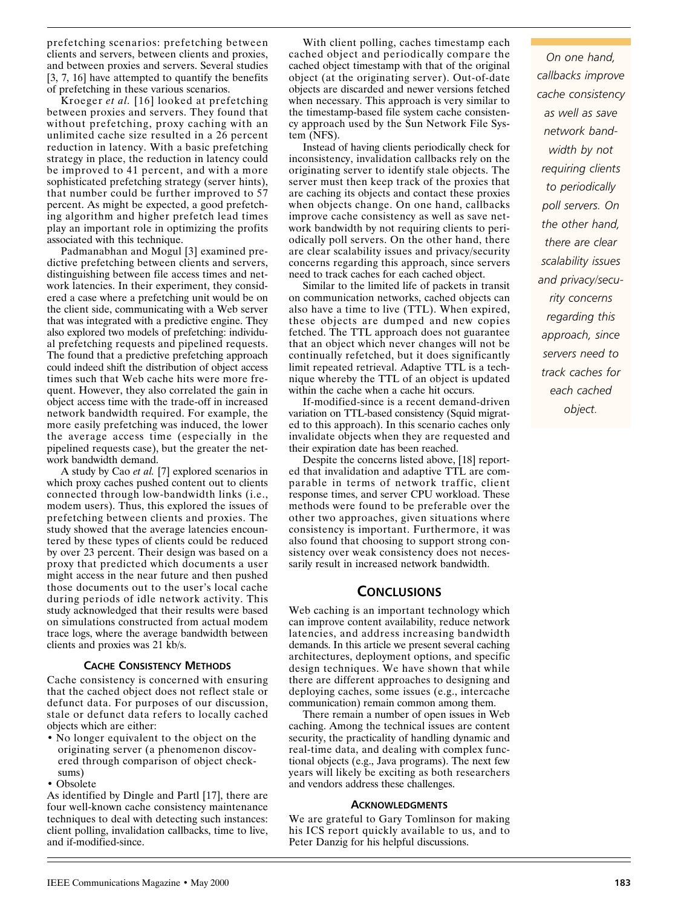prefetching scenarios: prefetching between clients and servers, between clients and proxies, and between proxies and servers. Several studies [3, 7, 16] have attempted to quantify the benefits of prefetching in these various scenarios.

Kroeger *et al.* [16] looked at prefetching between proxies and servers. They found that without prefetching, proxy caching with an unlimited cache size resulted in a 26 percent reduction in latency. With a basic prefetching strategy in place, the reduction in latency could be improved to 41 percent, and with a more sophisticated prefetching strategy (server hints), that number could be further improved to 57 percent. As might be expected, a good prefetching algorithm and higher prefetch lead times play an important role in optimizing the profits associated with this technique.

Padmanabhan and Mogul [3] examined predictive prefetching between clients and servers, distinguishing between file access times and network latencies. In their experiment, they considered a case where a prefetching unit would be on the client side, communicating with a Web server that was integrated with a predictive engine. They also explored two models of prefetching: individual prefetching requests and pipelined requests. The found that a predictive prefetching approach could indeed shift the distribution of object access times such that Web cache hits were more frequent. However, they also correlated the gain in object access time with the trade-off in increased network bandwidth required. For example, the more easily prefetching was induced, the lower the average access time (especially in the pipelined requests case), but the greater the network bandwidth demand.

A study by Cao *et al.* [7] explored scenarios in which proxy caches pushed content out to clients connected through low-bandwidth links (i.e., modem users). Thus, this explored the issues of prefetching between clients and proxies. The study showed that the average latencies encountered by these types of clients could be reduced by over 23 percent. Their design was based on a proxy that predicted which documents a user might access in the near future and then pushed those documents out to the user's local cache during periods of idle network activity. This study acknowledged that their results were based on simulations constructed from actual modem trace logs, where the average bandwidth between clients and proxies was 21 kb/s.

#### **CACHE CONSISTENCY METHODS**

Cache consistency is concerned with ensuring that the cached object does not reflect stale or defunct data. For purposes of our discussion, stale or defunct data refers to locally cached objects which are either:

- No longer equivalent to the object on the originating server (a phenomenon discovered through comparison of object checksums)
- Obsolete

As identified by Dingle and Partl [17], there are four well-known cache consistency maintenance techniques to deal with detecting such instances: client polling, invalidation callbacks, time to live, and if-modified-since.

With client polling, caches timestamp each cached object and periodically compare the cached object timestamp with that of the original object (at the originating server). Out-of-date objects are discarded and newer versions fetched when necessary. This approach is very similar to the timestamp-based file system cache consistency approach used by the Sun Network File System (NFS).

Instead of having clients periodically check for inconsistency, invalidation callbacks rely on the originating server to identify stale objects. The server must then keep track of the proxies that are caching its objects and contact these proxies when objects change. On one hand, callbacks improve cache consistency as well as save network bandwidth by not requiring clients to periodically poll servers. On the other hand, there are clear scalability issues and privacy/security concerns regarding this approach, since servers need to track caches for each cached object.

Similar to the limited life of packets in transit on communication networks, cached objects can also have a time to live (TTL). When expired, these objects are dumped and new copies fetched. The TTL approach does not guarantee that an object which never changes will not be continually refetched, but it does significantly limit repeated retrieval. Adaptive TTL is a technique whereby the TTL of an object is updated within the cache when a cache hit occurs.

If-modified-since is a recent demand-driven variation on TTL-based consistency (Squid migrated to this approach). In this scenario caches only invalidate objects when they are requested and their expiration date has been reached.

Despite the concerns listed above, [18] reported that invalidation and adaptive TTL are comparable in terms of network traffic, client response times, and server CPU workload. These methods were found to be preferable over the other two approaches, given situations where consistency is important. Furthermore, it was also found that choosing to support strong consistency over weak consistency does not necessarily result in increased network bandwidth.

# **CONCLUSIONS**

Web caching is an important technology which can improve content availability, reduce network latencies, and address increasing bandwidth demands. In this article we present several caching architectures, deployment options, and specific design techniques. We have shown that while there are different approaches to designing and deploying caches, some issues (e.g., intercache communication) remain common among them.

There remain a number of open issues in Web caching. Among the technical issues are content security, the practicality of handling dynamic and real-time data, and dealing with complex functional objects (e.g., Java programs). The next few years will likely be exciting as both researchers and vendors address these challenges.

#### **ACKNOWLEDGMENTS**

We are grateful to Gary Tomlinson for making his ICS report quickly available to us, and to Peter Danzig for his helpful discussions.

*On one hand, callbacks improve cache consistency as well as save network bandwidth by not requiring clients to periodically poll servers. On the other hand, there are clear scalability issues and privacy/security concerns regarding this approach, since servers need to track caches for each cached object.*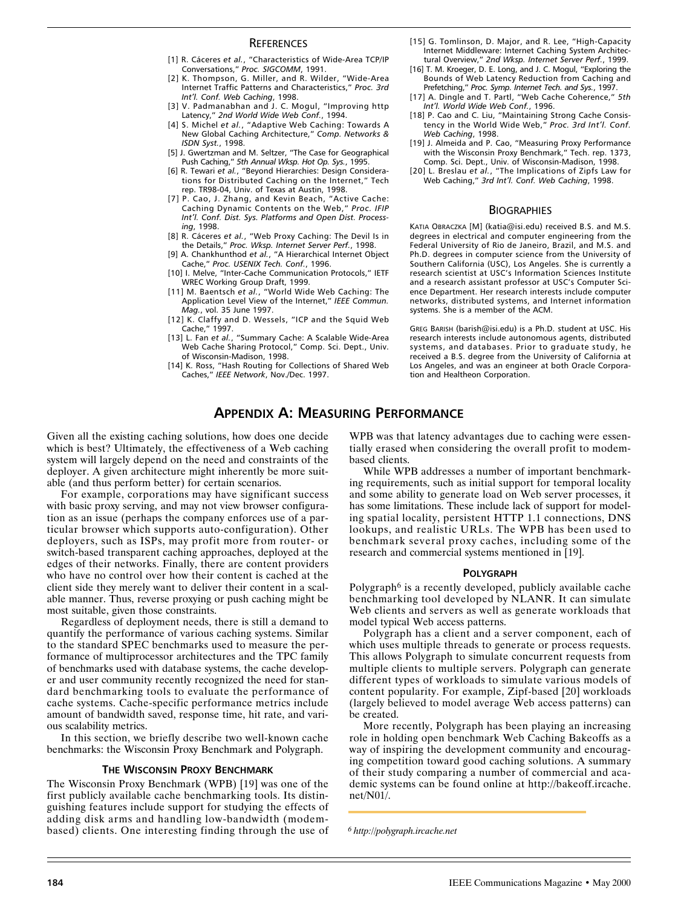#### **REFERENCES**

- [1] R. Cáceres *et al.*, "Characteristics of Wide-Area TCP/IP Conversations," *Proc. SIGCOMM*, 1991.
- [2] K. Thompson, G. Miller, and R. Wilder, "Wide-Area Internet Traffic Patterns and Characteristics," *Proc. 3rd Int'l. Conf. Web Caching*, 1998.
- [3] V. Padmanabhan and J. C. Mogul, "Improving http Latency," *2nd World Wide Web Conf.*, 1994.
- [4] S. Michel *et al.*, "Adaptive Web Caching: Towards A New Global Caching Architecture," *Comp. Networks & ISDN Syst.*, 1998.
- [5] J. Gwertzman and M. Seltzer, "The Case for Geographical Push Caching," *5th Annual Wksp. Hot Op. Sys.*, 1995.
- [6] R. Tewari *et al.*, "Beyond Hierarchies: Design Considerations for Distributed Caching on the Internet," Tech rep. TR98-04, Univ. of Texas at Austin, 1998.
- [7] P. Cao, J. Zhang, and Kevin Beach, "Active Cache: Caching Dynamic Contents on the Web," *Proc. IFIP Int'l. Conf. Dist. Sys. Platforms and Open Dist. Processing*, 1998.
- [8] R. Cáceres *et al.*, "Web Proxy Caching: The Devil Is in the Details," *Proc. Wksp. Internet Server Perf.*, 1998.
- [9] A. Chankhunthod *et al.*, "A Hierarchical Internet Object Cache," *Proc. USENIX Tech. Conf.*, 1996.
- [10] I. Melve, "Inter-Cache Communication Protocols," IETF WREC Working Group Draft, 1999.
- [11] M. Baentsch *et al.*, "World Wide Web Caching: The Application Level View of the Internet," *IEEE Commun. Mag.*, vol. 35 June 1997.
- [12] K. Claffy and D. Wessels, "ICP and the Squid Web
- Cache," 1997. [13] L. Fan *et al.*, "Summary Cache: A Scalable Wide-Area Web Cache Sharing Protocol," Comp. Sci. Dept., Univ. of Wisconsin-Madison, 1998.
- [14] K. Ross, "Hash Routing for Collections of Shared Web Caches," *IEEE Network*, Nov./Dec. 1997.
- [15] G. Tomlinson, D. Major, and R. Lee, "High-Capacity Internet Middleware: Internet Caching System Architectural Overview," *2nd Wksp. Internet Server Perf.*, 1999.
- [16] T. M. Kroeger, D. E. Long, and J. C. Mogul, "Exploring the Bounds of Web Latency Reduction from Caching and Prefetching," *Proc. Symp. Internet Tech. and Sys.*, 1997.
- [17] A. Dingle and T. Partl, "Web Cache Coherence," *5th Int'l. World Wide Web Conf.*, 1996.
- [18] P. Cao and C. Liu, "Maintaining Strong Cache Consis-tency in the World Wide Web," *Proc. 3rd Int'l. Conf. Web Caching*, 1998.
- [19] J. Almeida and P. Cao, "Measuring Proxy Performance with the Wisconsin Proxy Benchmark," Tech. rep. 1373, Comp. Sci. Dept., Univ. of Wisconsin-Madison, 1998.
- [20] L. Breslau *et al.*, "The Implications of Zipfs Law for Web Caching," *3rd Int'l. Conf. Web Caching*, 1998.

#### **BIOGRAPHIES**

KATIA OBRACZKA [M] (katia@isi.edu) received B.S. and M.S. degrees in electrical and computer engineering from the Federal University of Rio de Janeiro, Brazil, and M.S. and Ph.D. degrees in computer science from the University of Southern California (USC), Los Angeles. She is currently a research scientist at USC's Information Sciences Institute and a research assistant professor at USC's Computer Science Department. Her research interests include computer networks, distributed systems, and Internet information systems. She is a member of the ACM.

GREG BARISH (barish@isi.edu) is a Ph.D. student at USC. His research interests include autonomous agents, distributed systems, and databases. Prior to graduate study, he received a B.S. degree from the University of California at Los Angeles, and was an engineer at both Oracle Corporation and Healtheon Corporation.

# **APPENDIX A: MEASURING PERFORMANCE**

Given all the existing caching solutions, how does one decide which is best? Ultimately, the effectiveness of a Web caching system will largely depend on the need and constraints of the deployer. A given architecture might inherently be more suitable (and thus perform better) for certain scenarios.

For example, corporations may have significant success with basic proxy serving, and may not view browser configuration as an issue (perhaps the company enforces use of a particular browser which supports auto-configuration). Other deployers, such as ISPs, may profit more from router- or switch-based transparent caching approaches, deployed at the edges of their networks. Finally, there are content providers who have no control over how their content is cached at the client side they merely want to deliver their content in a scalable manner. Thus, reverse proxying or push caching might be most suitable, given those constraints.

Regardless of deployment needs, there is still a demand to quantify the performance of various caching systems. Similar to the standard SPEC benchmarks used to measure the performance of multiprocessor architectures and the TPC family of benchmarks used with database systems, the cache developer and user community recently recognized the need for standard benchmarking tools to evaluate the performance of cache systems. Cache-specific performance metrics include amount of bandwidth saved, response time, hit rate, and various scalability metrics.

In this section, we briefly describe two well-known cache benchmarks: the Wisconsin Proxy Benchmark and Polygraph.

#### **THE WISCONSIN PROXY BENCHMARK**

The Wisconsin Proxy Benchmark (WPB) [19] was one of the first publicly available cache benchmarking tools. Its distinguishing features include support for studying the effects of adding disk arms and handling low-bandwidth (modembased) clients. One interesting finding through the use of WPB was that latency advantages due to caching were essentially erased when considering the overall profit to modembased clients.

While WPB addresses a number of important benchmarking requirements, such as initial support for temporal locality and some ability to generate load on Web server processes, it has some limitations. These include lack of support for modeling spatial locality, persistent HTTP 1.1 connections, DNS lookups, and realistic URLs. The WPB has been used to benchmark several proxy caches, including some of the research and commercial systems mentioned in [19].

#### **POLYGRAPH**

Polygraph<sup>6</sup> is a recently developed, publicly available cache benchmarking tool developed by NLANR. It can simulate Web clients and servers as well as generate workloads that model typical Web access patterns.

Polygraph has a client and a server component, each of which uses multiple threads to generate or process requests. This allows Polygraph to simulate concurrent requests from multiple clients to multiple servers. Polygraph can generate different types of workloads to simulate various models of content popularity. For example, Zipf-based [20] workloads (largely believed to model average Web access patterns) can be created.

More recently, Polygraph has been playing an increasing role in holding open benchmark Web Caching Bakeoffs as a way of inspiring the development community and encouraging competition toward good caching solutions. A summary of their study comparing a number of commercial and academic systems can be found online at http://bakeoff.ircache. net/N01/.

*<sup>6</sup> http://polygraph.ircache.net*